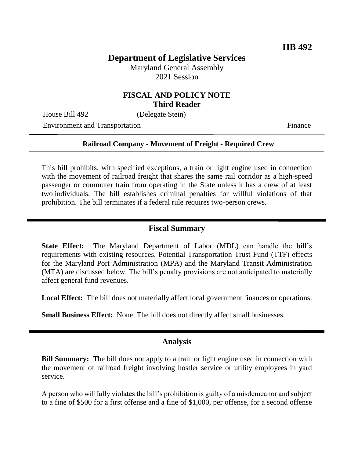# **Department of Legislative Services**

Maryland General Assembly 2021 Session

### **FISCAL AND POLICY NOTE Third Reader**

House Bill 492 (Delegate Stein)

Environment and Transportation Finance

#### **Railroad Company - Movement of Freight - Required Crew**

This bill prohibits, with specified exceptions, a train or light engine used in connection with the movement of railroad freight that shares the same rail corridor as a high-speed passenger or commuter train from operating in the State unless it has a crew of at least two individuals. The bill establishes criminal penalties for willful violations of that prohibition. The bill terminates if a federal rule requires two-person crews.

## **Fiscal Summary**

**State Effect:** The Maryland Department of Labor (MDL) can handle the bill's requirements with existing resources. Potential Transportation Trust Fund (TTF) effects for the Maryland Port Administration (MPA) and the Maryland Transit Administration (MTA) are discussed below. The bill's penalty provisions are not anticipated to materially affect general fund revenues.

**Local Effect:** The bill does not materially affect local government finances or operations.

**Small Business Effect:** None. The bill does not directly affect small businesses.

### **Analysis**

**Bill Summary:** The bill does not apply to a train or light engine used in connection with the movement of railroad freight involving hostler service or utility employees in yard service.

A person who willfully violates the bill's prohibition is guilty of a misdemeanor and subject to a fine of \$500 for a first offense and a fine of \$1,000, per offense, for a second offense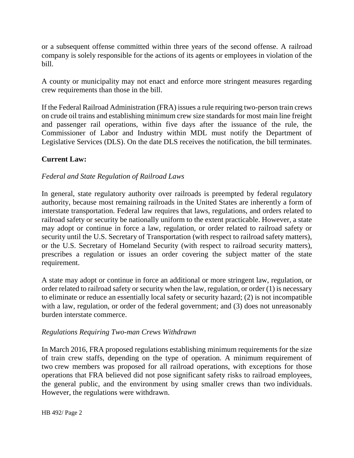or a subsequent offense committed within three years of the second offense. A railroad company is solely responsible for the actions of its agents or employees in violation of the bill.

A county or municipality may not enact and enforce more stringent measures regarding crew requirements than those in the bill.

If the Federal Railroad Administration (FRA) issues a rule requiring two-person train crews on crude oil trains and establishing minimum crew size standards for most main line freight and passenger rail operations, within five days after the issuance of the rule, the Commissioner of Labor and Industry within MDL must notify the Department of Legislative Services (DLS). On the date DLS receives the notification, the bill terminates.

## **Current Law:**

### *Federal and State Regulation of Railroad Laws*

In general, state regulatory authority over railroads is preempted by federal regulatory authority, because most remaining railroads in the United States are inherently a form of interstate transportation. Federal law requires that laws, regulations, and orders related to railroad safety or security be nationally uniform to the extent practicable. However, a state may adopt or continue in force a law, regulation, or order related to railroad safety or security until the U.S. Secretary of Transportation (with respect to railroad safety matters), or the U.S. Secretary of Homeland Security (with respect to railroad security matters), prescribes a regulation or issues an order covering the subject matter of the state requirement.

A state may adopt or continue in force an additional or more stringent law, regulation, or order related to railroad safety or security when the law, regulation, or order (1) is necessary to eliminate or reduce an essentially local safety or security hazard; (2) is not incompatible with a law, regulation, or order of the federal government; and (3) does not unreasonably burden interstate commerce.

### *Regulations Requiring Two-man Crews Withdrawn*

In March 2016, FRA proposed regulations establishing minimum requirements for the size of train crew staffs, depending on the type of operation. A minimum requirement of two crew members was proposed for all railroad operations, with exceptions for those operations that FRA believed did not pose significant safety risks to railroad employees, the general public, and the environment by using smaller crews than two individuals. However, the regulations were withdrawn.